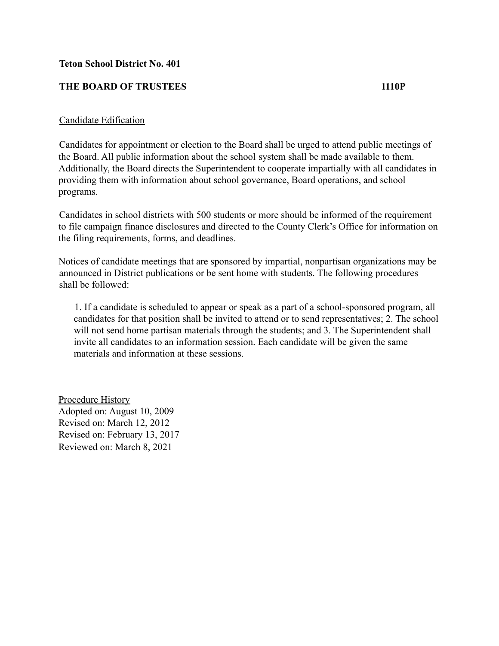## **Teton School District No. 401**

## **THE BOARD OF TRUSTEES 1110P**

## Candidate Edification

Candidates for appointment or election to the Board shall be urged to attend public meetings of the Board. All public information about the school system shall be made available to them. Additionally, the Board directs the Superintendent to cooperate impartially with all candidates in providing them with information about school governance, Board operations, and school programs.

Candidates in school districts with 500 students or more should be informed of the requirement to file campaign finance disclosures and directed to the County Clerk's Office for information on the filing requirements, forms, and deadlines.

Notices of candidate meetings that are sponsored by impartial, nonpartisan organizations may be announced in District publications or be sent home with students. The following procedures shall be followed:

1. If a candidate is scheduled to appear or speak as a part of a school-sponsored program, all candidates for that position shall be invited to attend or to send representatives; 2. The school will not send home partisan materials through the students; and 3. The Superintendent shall invite all candidates to an information session. Each candidate will be given the same materials and information at these sessions.

Procedure History Adopted on: August 10, 2009 Revised on: March 12, 2012 Revised on: February 13, 2017 Reviewed on: March 8, 2021